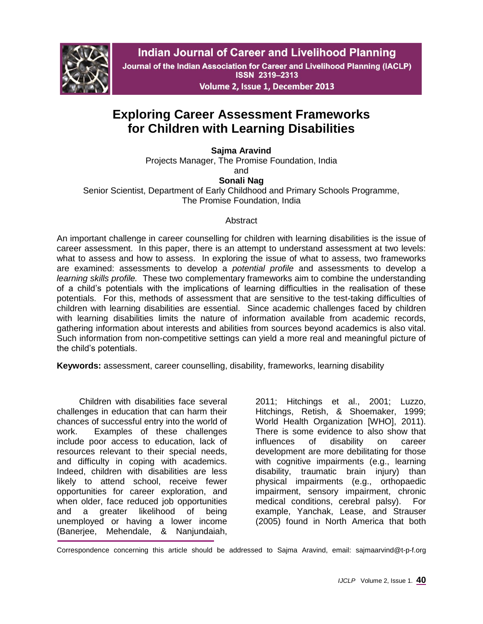

**Indian Journal of Career and Livelihood Planning** 

Journal of the Indian Association for Career and Livelihood Planning (IACLP) **ISSN 2319-2313** 

Volume 2, Issue 1, December 2013

# **Exploring Career Assessment Frameworks for Children with Learning Disabilities**

**Sajma Aravind**

Projects Manager, The Promise Foundation, India and

## **Sonali Nag**

Senior Scientist, Department of Early Childhood and Primary Schools Programme, The Promise Foundation, India

## Abstract

An important challenge in career counselling for children with learning disabilities is the issue of career assessment. In this paper, there is an attempt to understand assessment at two levels: what to assess and how to assess. In exploring the issue of what to assess, two frameworks are examined: assessments to develop a *potential profile* and assessments to develop a *learning skills profile.* These two complementary frameworks aim to combine the understanding of a child's potentials with the implications of learning difficulties in the realisation of these potentials. For this, methods of assessment that are sensitive to the test-taking difficulties of children with learning disabilities are essential. Since academic challenges faced by children with learning disabilities limits the nature of information available from academic records, gathering information about interests and abilities from sources beyond academics is also vital. Such information from non-competitive settings can yield a more real and meaningful picture of the child's potentials.

**Keywords:** assessment, career counselling, disability, frameworks, learning disability

Children with disabilities face several challenges in education that can harm their chances of successful entry into the world of work. Examples of these challenges include poor access to education, lack of resources relevant to their special needs, and difficulty in coping with academics. Indeed, children with disabilities are less likely to attend school, receive fewer opportunities for career exploration, and when older, face reduced job opportunities and a greater likelihood of being unemployed or having a lower income (Banerjee, Mehendale, & Nanjundaiah,

2011; Hitchings et al., 2001; Luzzo, Hitchings, Retish, & Shoemaker, 1999; World Health Organization [WHO], 2011). There is some evidence to also show that influences of disability on career development are more debilitating for those with cognitive impairments (e.g., learning disability, traumatic brain injury) than physical impairments (e.g., orthopaedic impairment, sensory impairment, chronic medical conditions, cerebral palsy). For example, Yanchak, Lease, and Strauser (2005) found in North America that both

Correspondence concerning this article should be addressed to Sajma Aravind, email: sajmaarvind@t-p-f.org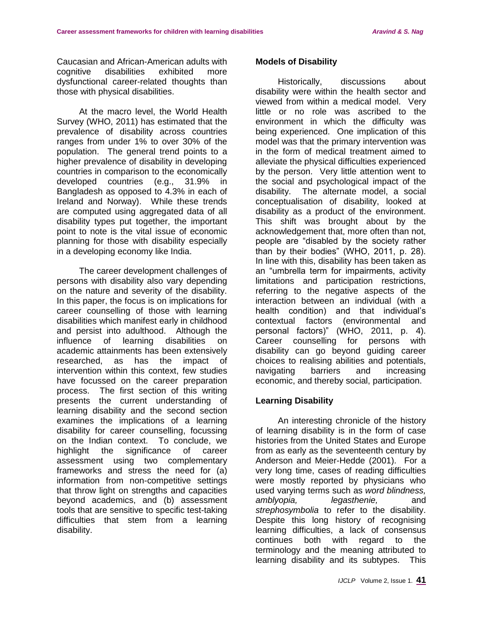Caucasian and African-American adults with cognitive disabilities exhibited more dysfunctional career-related thoughts than those with physical disabilities.

At the macro level, the World Health Survey (WHO, 2011) has estimated that the prevalence of disability across countries ranges from under 1% to over 30% of the population. The general trend points to a higher prevalence of disability in developing countries in comparison to the economically developed countries (e.g., 31.9% in Bangladesh as opposed to 4.3% in each of Ireland and Norway). While these trends are computed using aggregated data of all disability types put together, the important point to note is the vital issue of economic planning for those with disability especially in a developing economy like India.

The career development challenges of persons with disability also vary depending on the nature and severity of the disability. In this paper, the focus is on implications for career counselling of those with learning disabilities which manifest early in childhood and persist into adulthood. Although the influence of learning disabilities on academic attainments has been extensively researched, as has the impact of intervention within this context, few studies have focussed on the career preparation process. The first section of this writing presents the current understanding of learning disability and the second section examines the implications of a learning disability for career counselling, focussing on the Indian context. To conclude, we highlight the significance of career assessment using two complementary frameworks and stress the need for (a) information from non-competitive settings that throw light on strengths and capacities beyond academics, and (b) assessment tools that are sensitive to specific test-taking difficulties that stem from a learning disability.

#### **Models of Disability**

Historically, discussions about disability were within the health sector and viewed from within a medical model. Very little or no role was ascribed to the environment in which the difficulty was being experienced. One implication of this model was that the primary intervention was in the form of medical treatment aimed to alleviate the physical difficulties experienced by the person. Very little attention went to the social and psychological impact of the disability. The alternate model, a social conceptualisation of disability, looked at disability as a product of the environment. This shift was brought about by the acknowledgement that, more often than not, people are "disabled by the society rather than by their bodies" (WHO, 2011, p. 28). In line with this, disability has been taken as an "umbrella term for impairments, activity limitations and participation restrictions, referring to the negative aspects of the interaction between an individual (with a health condition) and that individual's contextual factors (environmental and personal factors)" (WHO, 2011, p. 4). Career counselling for persons with disability can go beyond guiding career choices to realising abilities and potentials, navigating barriers and increasing economic, and thereby social, participation.

#### **Learning Disability**

An interesting chronicle of the history of learning disability is in the form of case histories from the United States and Europe from as early as the seventeenth century by Anderson and Meier-Hedde (2001). For a very long time, cases of reading difficulties were mostly reported by physicians who used varying terms such as *word blindness, amblyopia, legasthenie,* and *strephosymbolia* to refer to the disability. Despite this long history of recognising learning difficulties, a lack of consensus continues both with regard to the terminology and the meaning attributed to learning disability and its subtypes. This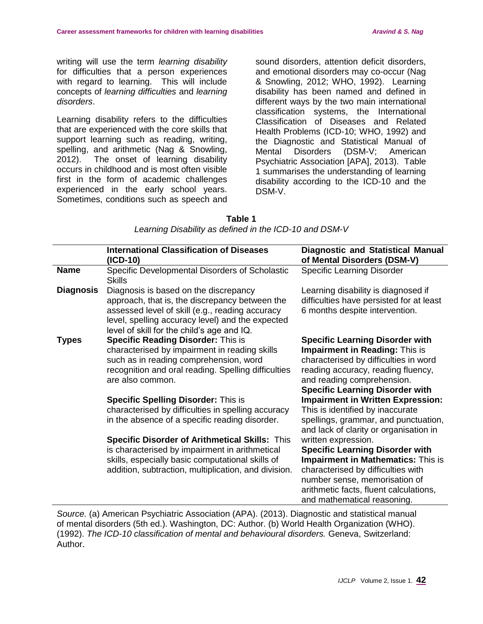writing will use the term *learning disability* for difficulties that a person experiences with regard to learning. This will include concepts of *learning difficulties* and *learning disorders*.

Learning disability refers to the difficulties that are experienced with the core skills that support learning such as reading, writing, spelling, and arithmetic (Nag & Snowling, 2012). The onset of learning disability occurs in childhood and is most often visible first in the form of academic challenges experienced in the early school years. Sometimes, conditions such as speech and sound disorders, attention deficit disorders, and emotional disorders may co-occur (Nag & Snowling, 2012; WHO, 1992). Learning disability has been named and defined in different ways by the two main international classification systems, the International Classification of Diseases and Related Health Problems (ICD-10; WHO, 1992) and the Diagnostic and Statistical Manual of Mental Disorders (DSM-V; American Psychiatric Association [APA], 2013). Table 1 summarises the understanding of learning disability according to the ICD-10 and the DSM-V.

| <u>carring Disability as actived in the rooms of the and Dollar</u> |                                                                                                                                                                                                                                              |                                                                                                                                                                                                                                                            |  |  |
|---------------------------------------------------------------------|----------------------------------------------------------------------------------------------------------------------------------------------------------------------------------------------------------------------------------------------|------------------------------------------------------------------------------------------------------------------------------------------------------------------------------------------------------------------------------------------------------------|--|--|
|                                                                     | <b>International Classification of Diseases</b><br>(ICD-10)                                                                                                                                                                                  | <b>Diagnostic and Statistical Manual</b><br>of Mental Disorders (DSM-V)                                                                                                                                                                                    |  |  |
| <b>Name</b>                                                         | Specific Developmental Disorders of Scholastic<br><b>Skills</b>                                                                                                                                                                              | <b>Specific Learning Disorder</b>                                                                                                                                                                                                                          |  |  |
| <b>Diagnosis</b>                                                    | Diagnosis is based on the discrepancy<br>approach, that is, the discrepancy between the<br>assessed level of skill (e.g., reading accuracy<br>level, spelling accuracy level) and the expected<br>level of skill for the child's age and IQ. | Learning disability is diagnosed if<br>difficulties have persisted for at least<br>6 months despite intervention.                                                                                                                                          |  |  |
| <b>Types</b>                                                        | <b>Specific Reading Disorder: This is</b><br>characterised by impairment in reading skills<br>such as in reading comprehension, word<br>recognition and oral reading. Spelling difficulties<br>are also common.                              | <b>Specific Learning Disorder with</b><br><b>Impairment in Reading: This is</b><br>characterised by difficulties in word<br>reading accuracy, reading fluency,<br>and reading comprehension.<br><b>Specific Learning Disorder with</b>                     |  |  |
|                                                                     | <b>Specific Spelling Disorder: This is</b><br>characterised by difficulties in spelling accuracy<br>in the absence of a specific reading disorder.                                                                                           | <b>Impairment in Written Expression:</b><br>This is identified by inaccurate<br>spellings, grammar, and punctuation,<br>and lack of clarity or organisation in                                                                                             |  |  |
|                                                                     | <b>Specific Disorder of Arithmetical Skills: This</b><br>is characterised by impairment in arithmetical<br>skills, especially basic computational skills of<br>addition, subtraction, multiplication, and division.                          | written expression.<br><b>Specific Learning Disorder with</b><br><b>Impairment in Mathematics: This is</b><br>characterised by difficulties with<br>number sense, memorisation of<br>arithmetic facts, fluent calculations,<br>and mathematical reasoning. |  |  |

| Table 1                                                |
|--------------------------------------------------------|
| Learning Disability as defined in the ICD-10 and DSM-V |

*Source.* (a) American Psychiatric Association (APA). (2013). Diagnostic and statistical manual of mental disorders (5th ed.). Washington, DC: Author. (b) World Health Organization (WHO). (1992). *The ICD-10 classification of mental and behavioural disorders.* Geneva, Switzerland: Author.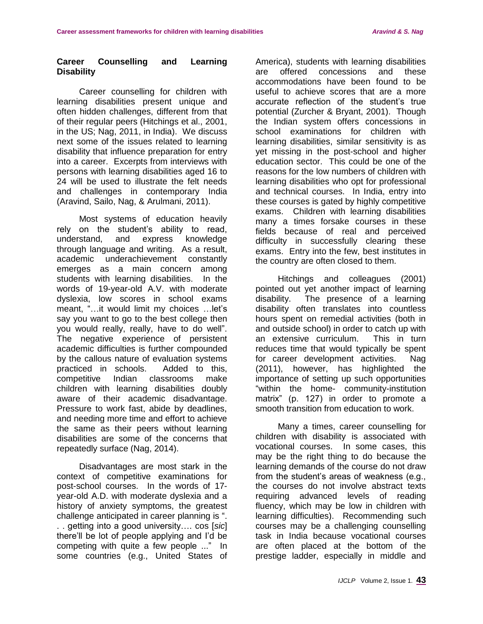### **Career Counselling and Learning Disability**

Career counselling for children with learning disabilities present unique and often hidden challenges, different from that of their regular peers (Hitchings et al., 2001, in the US; Nag, 2011, in India). We discuss next some of the issues related to learning disability that influence preparation for entry into a career. Excerpts from interviews with persons with learning disabilities aged 16 to 24 will be used to illustrate the felt needs and challenges in contemporary India (Aravind, Sailo, Nag, & Arulmani, 2011).

Most systems of education heavily rely on the student's ability to read, understand, and express knowledge through language and writing. As a result, academic underachievement constantly emerges as a main concern among students with learning disabilities. In the words of 19-year-old A.V. with moderate dyslexia, low scores in school exams meant, "…it would limit my choices …let's say you want to go to the best college then you would really, really, have to do well". The negative experience of persistent academic difficulties is further compounded by the callous nature of evaluation systems practiced in schools. Added to this, competitive Indian classrooms make children with learning disabilities doubly aware of their academic disadvantage. Pressure to work fast, abide by deadlines, and needing more time and effort to achieve the same as their peers without learning disabilities are some of the concerns that repeatedly surface (Nag, 2014).

Disadvantages are most stark in the context of competitive examinations for post-school courses. In the words of 17 year-old A.D. with moderate dyslexia and a history of anxiety symptoms, the greatest challenge anticipated in career planning is ". . . getting into a good university…. cos [*sic*] there'll be lot of people applying and I'd be competing with quite a few people ..." In some countries (e.g., United States of America), students with learning disabilities are offered concessions and these accommodations have been found to be useful to achieve scores that are a more accurate reflection of the student's true potential (Zurcher & Bryant, 2001). Though the Indian system offers concessions in school examinations for children with learning disabilities, similar sensitivity is as yet missing in the post-school and higher education sector. This could be one of the reasons for the low numbers of children with learning disabilities who opt for professional and technical courses. In India, entry into these courses is gated by highly competitive exams. Children with learning disabilities many a times forsake courses in these fields because of real and perceived difficulty in successfully clearing these exams. Entry into the few, best institutes in the country are often closed to them.

Hitchings and colleagues (2001) pointed out yet another impact of learning disability. The presence of a learning disability often translates into countless hours spent on remedial activities (both in and outside school) in order to catch up with an extensive curriculum. This in turn reduces time that would typically be spent for career development activities. Nag (2011), however, has highlighted the importance of setting up such opportunities "within the home- community-institution matrix" (p. 127) in order to promote a smooth transition from education to work.

Many a times, career counselling for children with disability is associated with vocational courses. In some cases, this may be the right thing to do because the learning demands of the course do not draw from the student's areas of weakness (e.g., the courses do not involve abstract texts requiring advanced levels of reading fluency, which may be low in children with learning difficulties). Recommending such courses may be a challenging counselling task in India because vocational courses are often placed at the bottom of the prestige ladder, especially in middle and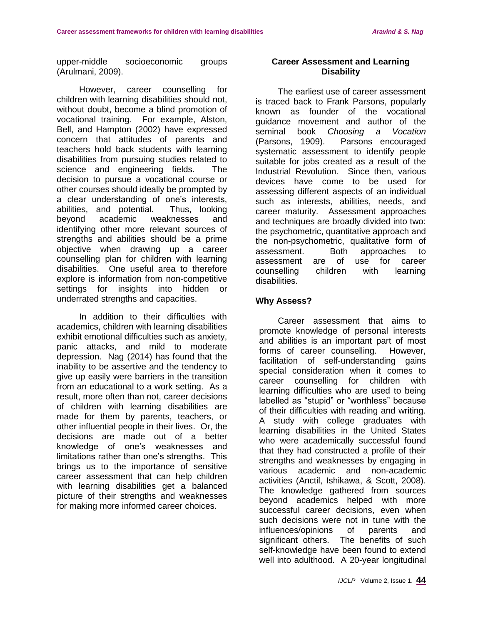upper-middle socioeconomic groups (Arulmani, 2009).

However, career counselling for children with learning disabilities should not, without doubt, become a blind promotion of vocational training. For example, Alston, Bell, and Hampton (2002) have expressed concern that attitudes of parents and teachers hold back students with learning disabilities from pursuing studies related to science and engineering fields. The decision to pursue a vocational course or other courses should ideally be prompted by a clear understanding of one's interests, abilities, and potential. Thus, looking beyond academic weaknesses and identifying other more relevant sources of strengths and abilities should be a prime objective when drawing up a career counselling plan for children with learning disabilities. One useful area to therefore explore is information from non-competitive settings for insights into hidden or underrated strengths and capacities.

In addition to their difficulties with academics, children with learning disabilities exhibit emotional difficulties such as anxiety, panic attacks, and mild to moderate depression. Nag (2014) has found that the inability to be assertive and the tendency to give up easily were barriers in the transition from an educational to a work setting. As a result, more often than not, career decisions of children with learning disabilities are made for them by parents, teachers, or other influential people in their lives. Or, the decisions are made out of a better knowledge of one's weaknesses and limitations rather than one's strengths. This brings us to the importance of sensitive career assessment that can help children with learning disabilities get a balanced picture of their strengths and weaknesses for making more informed career choices.

#### **Career Assessment and Learning Disability**

The earliest use of career assessment is traced back to Frank Parsons, popularly known as founder of the vocational guidance movement and author of the seminal book *Choosing a Vocation*  (Parsons, 1909). Parsons encouraged systematic assessment to identify people suitable for jobs created as a result of the Industrial Revolution. Since then, various devices have come to be used for assessing different aspects of an individual such as interests, abilities, needs, and career maturity. Assessment approaches and techniques are broadly divided into two: the psychometric, quantitative approach and the non-psychometric, qualitative form of assessment. Both approaches to assessment are of use for career counselling children with learning disabilities.

#### **Why Assess?**

Career assessment that aims to promote knowledge of personal interests and abilities is an important part of most forms of career counselling. However, facilitation of self-understanding gains special consideration when it comes to career counselling for children with learning difficulties who are used to being labelled as "stupid" or "worthless" because of their difficulties with reading and writing. A study with college graduates with learning disabilities in the United States who were academically successful found that they had constructed a profile of their strengths and weaknesses by engaging in various academic and non-academic activities (Anctil, Ishikawa, & Scott, 2008). The knowledge gathered from sources beyond academics helped with more successful career decisions, even when such decisions were not in tune with the influences/opinions of parents and significant others. The benefits of such self-knowledge have been found to extend well into adulthood. A 20-year longitudinal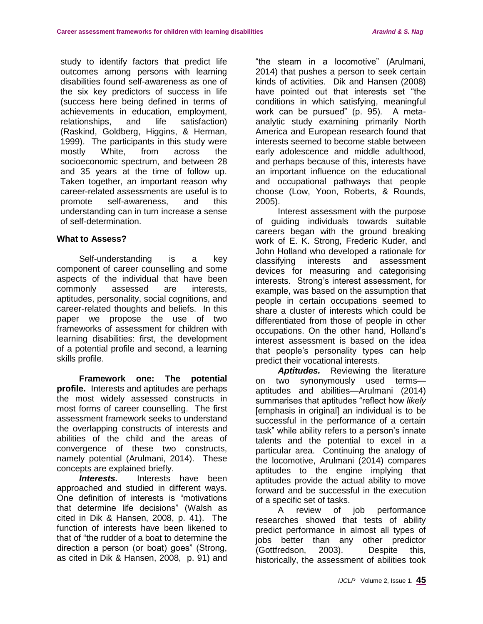study to identify factors that predict life outcomes among persons with learning disabilities found self-awareness as one of the six key predictors of success in life (success here being defined in terms of achievements in education, employment, relationships, and life satisfaction) (Raskind, Goldberg, Higgins, & Herman, 1999). The participants in this study were mostly White, from across the socioeconomic spectrum, and between 28 and 35 years at the time of follow up. Taken together, an important reason why career-related assessments are useful is to promote self-awareness, and this understanding can in turn increase a sense of self-determination.

#### **What to Assess?**

Self-understanding is a key component of career counselling and some aspects of the individual that have been commonly assessed are interests, aptitudes, personality, social cognitions, and career-related thoughts and beliefs. In this paper we propose the use of two frameworks of assessment for children with learning disabilities: first, the development of a potential profile and second, a learning skills profile.

**Framework one: The potential profile.** Interests and aptitudes are perhaps the most widely assessed constructs in most forms of career counselling. The first assessment framework seeks to understand the overlapping constructs of interests and abilities of the child and the areas of convergence of these two constructs, namely potential (Arulmani, 2014). These concepts are explained briefly.

**Interests.** Interests have been approached and studied in different ways. One definition of interests is "motivations that determine life decisions" (Walsh as cited in Dik & Hansen, 2008, p. 41). The function of interests have been likened to that of "the rudder of a boat to determine the direction a person (or boat) goes" (Strong, as cited in Dik & Hansen, 2008, p. 91) and "the steam in a locomotive" (Arulmani, 2014) that pushes a person to seek certain kinds of activities. Dik and Hansen (2008) have pointed out that interests set "the conditions in which satisfying, meaningful work can be pursued" (p. 95). A metaanalytic study examining primarily North America and European research found that interests seemed to become stable between early adolescence and middle adulthood, and perhaps because of this, interests have an important influence on the educational and occupational pathways that people choose (Low, Yoon, Roberts, & Rounds, 2005).

Interest assessment with the purpose of guiding individuals towards suitable careers began with the ground breaking work of E. K. Strong, Frederic Kuder, and John Holland who developed a rationale for classifying interests and assessment devices for measuring and categorising interests. Strong's interest assessment, for example, was based on the assumption that people in certain occupations seemed to share a cluster of interests which could be differentiated from those of people in other occupations. On the other hand, Holland's interest assessment is based on the idea that people's personality types can help predict their vocational interests.

Aptitudes. Reviewing the literature on two synonymously used terms aptitudes and abilities—Arulmani (2014) summarises that aptitudes "reflect how *likely*  [emphasis in original] an individual is to be successful in the performance of a certain task" while ability refers to a person's innate talents and the potential to excel in a particular area. Continuing the analogy of the locomotive, Arulmani (2014) compares aptitudes to the engine implying that aptitudes provide the actual ability to move forward and be successful in the execution of a specific set of tasks.

A review of job performance researches showed that tests of ability predict performance in almost all types of jobs better than any other predictor (Gottfredson, 2003). Despite this, historically, the assessment of abilities took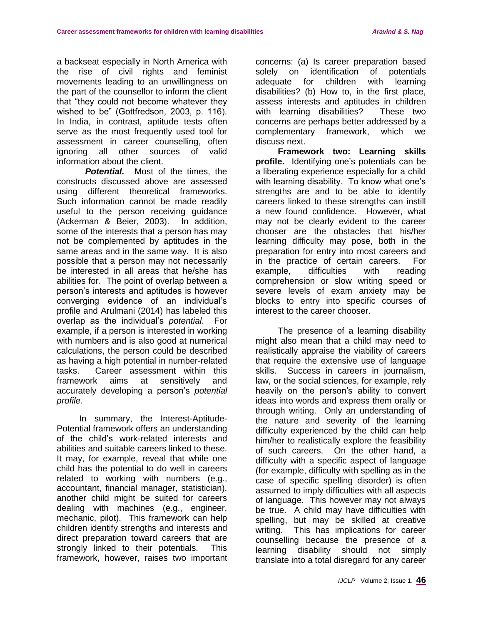a backseat especially in North America with the rise of civil rights and feminist movements leading to an unwillingness on the part of the counsellor to inform the client that "they could not become whatever they wished to be" (Gottfredson, 2003, p. 116). In India, in contrast, aptitude tests often serve as the most frequently used tool for assessment in career counselling, often ignoring all other sources of valid information about the client.

**Potential.** Most of the times, the constructs discussed above are assessed using different theoretical frameworks. Such information cannot be made readily useful to the person receiving guidance (Ackerman & Beier, 2003). In addition, some of the interests that a person has may not be complemented by aptitudes in the same areas and in the same way. It is also possible that a person may not necessarily be interested in all areas that he/she has abilities for. The point of overlap between a person's interests and aptitudes is however converging evidence of an individual's profile and Arulmani (2014) has labeled this overlap as the individual's *potential*. For example, if a person is interested in working with numbers and is also good at numerical calculations, the person could be described as having a high potential in number-related tasks. Career assessment within this framework aims at sensitively and accurately developing a person's *potential profile.*

In summary, the Interest-Aptitude-Potential framework offers an understanding of the child's work-related interests and abilities and suitable careers linked to these. It may, for example, reveal that while one child has the potential to do well in careers related to working with numbers (e.g., accountant, financial manager, statistician), another child might be suited for careers dealing with machines (e.g., engineer, mechanic, pilot). This framework can help children identify strengths and interests and direct preparation toward careers that are strongly linked to their potentials. This framework, however, raises two important concerns: (a) Is career preparation based solely on identification of potentials adequate for children with learning disabilities? (b) How to, in the first place, assess interests and aptitudes in children with learning disabilities? These two concerns are perhaps better addressed by a complementary framework, which we discuss next.

**Framework two: Learning skills profile.** Identifying one's potentials can be a liberating experience especially for a child with learning disability. To know what one's strengths are and to be able to identify careers linked to these strengths can instill a new found confidence. However, what may not be clearly evident to the career chooser are the obstacles that his/her learning difficulty may pose, both in the preparation for entry into most careers and in the practice of certain careers. For example, difficulties with reading comprehension or slow writing speed or severe levels of exam anxiety may be blocks to entry into specific courses of interest to the career chooser.

The presence of a learning disability might also mean that a child may need to realistically appraise the viability of careers that require the extensive use of language skills. Success in careers in journalism, law, or the social sciences, for example, rely heavily on the person's ability to convert ideas into words and express them orally or through writing. Only an understanding of the nature and severity of the learning difficulty experienced by the child can help him/her to realistically explore the feasibility of such careers. On the other hand, a difficulty with a specific aspect of language (for example, difficulty with spelling as in the case of specific spelling disorder) is often assumed to imply difficulties with all aspects of language. This however may not always be true. A child may have difficulties with spelling, but may be skilled at creative writing. This has implications for career counselling because the presence of a learning disability should not simply translate into a total disregard for any career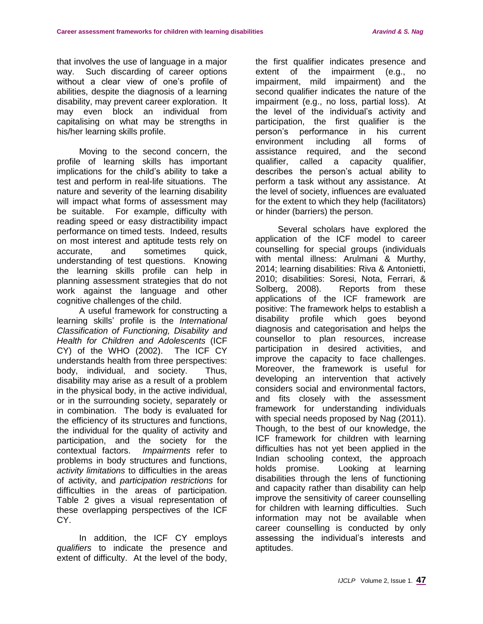that involves the use of language in a major way. Such discarding of career options without a clear view of one's profile of abilities, despite the diagnosis of a learning disability, may prevent career exploration. It may even block an individual from capitalising on what may be strengths in his/her learning skills profile.

Moving to the second concern, the profile of learning skills has important implications for the child's ability to take a test and perform in real-life situations. The nature and severity of the learning disability will impact what forms of assessment may be suitable. For example, difficulty with reading speed or easy distractibility impact performance on timed tests. Indeed, results on most interest and aptitude tests rely on accurate, and sometimes quick, understanding of test questions. Knowing the learning skills profile can help in planning assessment strategies that do not work against the language and other cognitive challenges of the child.

A useful framework for constructing a learning skills' profile is the *International Classification of Functioning, Disability and Health for Children and Adolescents* (ICF CY) of the WHO (2002). The ICF CY understands health from three perspectives: body, individual, and society. Thus, disability may arise as a result of a problem in the physical body, in the active individual, or in the surrounding society, separately or in combination. The body is evaluated for the efficiency of its structures and functions, the individual for the quality of activity and participation, and the society for the contextual factors. *Impairments* refer to problems in body structures and functions, *activity limitations* to difficulties in the areas of activity, and *participation restrictions* for difficulties in the areas of participation. Table 2 gives a visual representation of these overlapping perspectives of the ICF CY.

In addition, the ICF CY employs *qualifiers* to indicate the presence and extent of difficulty. At the level of the body,

the first qualifier indicates presence and extent of the impairment (e.g., no impairment, mild impairment) and the second qualifier indicates the nature of the impairment (e.g., no loss, partial loss). At the level of the individual's activity and participation, the first qualifier is the person's performance in his current environment including all forms of assistance required, and the second qualifier, called a capacity qualifier, describes the person's actual ability to perform a task without any assistance. At the level of society, influences are evaluated for the extent to which they help (facilitators) or hinder (barriers) the person.

Several scholars have explored the application of the ICF model to career counselling for special groups (individuals with mental illness: Arulmani & Murthy, 2014; learning disabilities: Riva & Antonietti, 2010; disabilities: Soresi, Nota, Ferrari, & Solberg, 2008). Reports from these applications of the ICF framework are positive: The framework helps to establish a disability profile which goes beyond diagnosis and categorisation and helps the counsellor to plan resources, increase participation in desired activities, and improve the capacity to face challenges. Moreover, the framework is useful for developing an intervention that actively considers social and environmental factors, and fits closely with the assessment framework for understanding individuals with special needs proposed by Nag (2011). Though, to the best of our knowledge, the ICF framework for children with learning difficulties has not yet been applied in the Indian schooling context, the approach holds promise. Looking at learning disabilities through the lens of functioning and capacity rather than disability can help improve the sensitivity of career counselling for children with learning difficulties. Such information may not be available when career counselling is conducted by only assessing the individual's interests and aptitudes.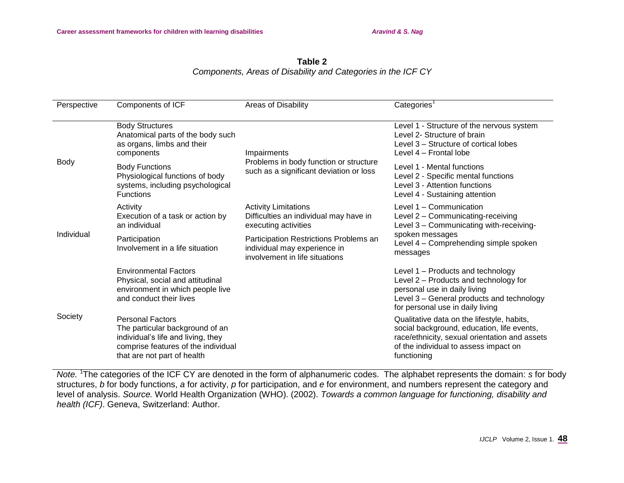#### **Table 2** *Components, Areas of Disability and Categories in the ICF CY*

| Perspective | Components of ICF                                                                                                                                                      | Areas of Disability                                                                                      | Categories <sup>1</sup>                                                                                                                                                                           |
|-------------|------------------------------------------------------------------------------------------------------------------------------------------------------------------------|----------------------------------------------------------------------------------------------------------|---------------------------------------------------------------------------------------------------------------------------------------------------------------------------------------------------|
| Body        | <b>Body Structures</b><br>Anatomical parts of the body such<br>as organs, limbs and their<br>components                                                                | Impairments<br>Problems in body function or structure<br>such as a significant deviation or loss         | Level 1 - Structure of the nervous system<br>Level 2- Structure of brain<br>Level 3 – Structure of cortical lobes<br>Level 4 – Frontal lobe                                                       |
|             | <b>Body Functions</b><br>Physiological functions of body<br>systems, including psychological<br><b>Functions</b>                                                       |                                                                                                          | Level 1 - Mental functions<br>Level 2 - Specific mental functions<br>Level 3 - Attention functions<br>Level 4 - Sustaining attention                                                              |
| Individual  | Activity<br>Execution of a task or action by<br>an individual                                                                                                          | <b>Activity Limitations</b><br>Difficulties an individual may have in<br>executing activities            | Level 1 - Communication<br>Level 2 - Communicating-receiving<br>Level 3 - Communicating with-receiving-<br>spoken messages<br>Level 4 - Comprehending simple spoken<br>messages                   |
|             | Participation<br>Involvement in a life situation                                                                                                                       | Participation Restrictions Problems an<br>individual may experience in<br>involvement in life situations |                                                                                                                                                                                                   |
| Society     | <b>Environmental Factors</b><br>Physical, social and attitudinal<br>environment in which people live<br>and conduct their lives                                        |                                                                                                          | Level 1 - Products and technology<br>Level 2 - Products and technology for<br>personal use in daily living<br>Level 3 - General products and technology<br>for personal use in daily living       |
|             | <b>Personal Factors</b><br>The particular background of an<br>individual's life and living, they<br>comprise features of the individual<br>that are not part of health |                                                                                                          | Qualitative data on the lifestyle, habits,<br>social background, education, life events,<br>race/ethnicity, sexual orientation and assets<br>of the individual to assess impact on<br>functioning |

*Note.* <sup>1</sup>The categories of the ICF CY are denoted in the form of alphanumeric codes. The alphabet represents the domain: *s* for body structures, *b* for body functions, *a* for activity, *p* for participation, and *e* for environment, and numbers represent the category and level of analysis. *Source.* World Health Organization (WHO). (2002). *Towards a common language for functioning, disability and health (ICF)*. Geneva, Switzerland: Author.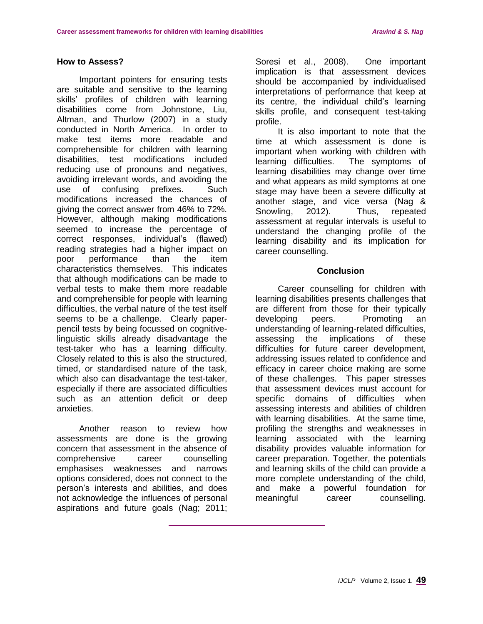### **How to Assess?**

Important pointers for ensuring tests are suitable and sensitive to the learning skills' profiles of children with learning disabilities come from Johnstone, Liu, Altman, and Thurlow (2007) in a study conducted in North America. In order to make test items more readable and comprehensible for children with learning disabilities, test modifications included reducing use of pronouns and negatives, avoiding irrelevant words, and avoiding the use of confusing prefixes. Such modifications increased the chances of giving the correct answer from 46% to 72%. However, although making modifications seemed to increase the percentage of correct responses, individual's (flawed) reading strategies had a higher impact on poor performance than the item characteristics themselves. This indicates that although modifications can be made to verbal tests to make them more readable and comprehensible for people with learning difficulties, the verbal nature of the test itself seems to be a challenge. Clearly paperpencil tests by being focussed on cognitivelinguistic skills already disadvantage the test-taker who has a learning difficulty. Closely related to this is also the structured, timed, or standardised nature of the task, which also can disadvantage the test-taker. especially if there are associated difficulties such as an attention deficit or deep anxieties.

Another reason to review how assessments are done is the growing concern that assessment in the absence of comprehensive career counselling emphasises weaknesses and narrows options considered, does not connect to the person's interests and abilities, and does not acknowledge the influences of personal aspirations and future goals (Nag; 2011;

Soresi et al., 2008). One important implication is that assessment devices should be accompanied by individualised interpretations of performance that keep at its centre, the individual child's learning skills profile, and consequent test-taking profile.

It is also important to note that the time at which assessment is done is important when working with children with learning difficulties. The symptoms of learning disabilities may change over time and what appears as mild symptoms at one stage may have been a severe difficulty at another stage, and vice versa (Nag & Snowling, 2012). Thus, repeated assessment at regular intervals is useful to understand the changing profile of the learning disability and its implication for career counselling.

#### **Conclusion**

Career counselling for children with learning disabilities presents challenges that are different from those for their typically developing peers. Promoting an understanding of learning-related difficulties, assessing the implications of these difficulties for future career development, addressing issues related to confidence and efficacy in career choice making are some of these challenges. This paper stresses that assessment devices must account for specific domains of difficulties when assessing interests and abilities of children with learning disabilities. At the same time, profiling the strengths and weaknesses in learning associated with the learning disability provides valuable information for career preparation. Together, the potentials and learning skills of the child can provide a more complete understanding of the child, and make a powerful foundation for meaningful career counselling.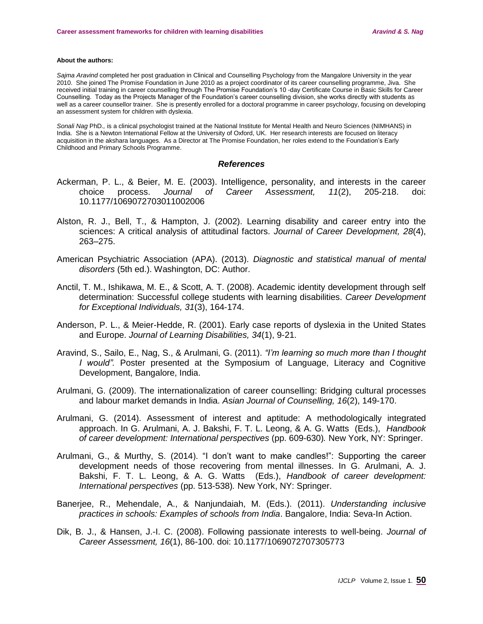#### **About the authors:**

*Sajma Aravind* completed her post graduation in Clinical and Counselling Psychology from the Mangalore University in the year 2010. She joined The Promise Foundation in June 2010 as a project coordinator of its career counselling programme, Jiva. She received initial training in career counselling through The Promise Foundation's 10 -day Certificate Course in Basic Skills for Career Counselling. Today as the Projects Manager of the Foundation's career counselling division, she works directly with students as well as a career counsellor trainer. She is presently enrolled for a doctoral programme in career psychology, focusing on developing an assessment system for children with dyslexia.

*Sonali Nag* PhD*.,* is a clinical psychologist trained at the National Institute for Mental Health and Neuro Sciences (NIMHANS) in India. She is a Newton International Fellow at the University of Oxford, UK. Her research interests are focused on literacy acquisition in the akshara languages. As a Director at The Promise Foundation, her roles extend to the Foundation's Early Childhood and Primary Schools Programme.

#### *References*

- Ackerman, P. L., & Beier, M. E. (2003). Intelligence, personality, and interests in the career choice process. *Journal of Career Assessment, 11*(2), 205-218. doi: 10.1177/1069072703011002006
- Alston, R. J., Bell, T., & Hampton, J. (2002). Learning disability and career entry into the sciences: A critical analysis of attitudinal factors. *Journal of Career Development, 28*(4), 263–275.
- American Psychiatric Association (APA). (2013). *Diagnostic and statistical manual of mental disorders* (5th ed.). Washington, DC: Author.
- Anctil, T. M., Ishikawa, M. E., & Scott, A. T. (2008). Academic identity development through self determination: Successful college students with learning disabilities. *Career Development for Exceptional Individuals, 31*(3), 164-174.
- Anderson, P. L., & Meier-Hedde, R. (2001). Early case reports of dyslexia in the United States and Europe. *Journal of Learning Disabilities, 34*(1), 9-21.
- Aravind, S., Sailo, E., Nag, S., & Arulmani, G. (2011). *"I'm learning so much more than I thought I would".* Poster presented at the Symposium of Language, Literacy and Cognitive Development, Bangalore, India.
- Arulmani, G. (2009). The internationalization of career counselling: Bridging cultural processes and labour market demands in India. *Asian Journal of Counselling, 16*(2), 149-170.
- Arulmani, G. (2014). Assessment of interest and aptitude: A methodologically integrated approach. In G. Arulmani, A. J. Bakshi, F. T. L. Leong, & A. G. Watts (Eds.), *Handbook of career development: International perspectives* (pp. 609-630)*.* New York, NY: Springer.
- Arulmani, G., & Murthy, S. (2014). "I don't want to make candles!": Supporting the career development needs of those recovering from mental illnesses. In G. Arulmani, A. J. Bakshi, F. T. L. Leong, & A. G. Watts (Eds.), *Handbook of career development: International perspectives* (pp. 513-538)*.* New York, NY: Springer.
- Banerjee, R., Mehendale, A., & Nanjundaiah, M. (Eds.). (2011). *Understanding inclusive practices in schools: Examples of schools from India*. Bangalore, India: Seva-In Action.
- Dik, B. J., & Hansen, J.-I. C. (2008). Following passionate interests to well-being. *Journal of Career Assessment, 16*(1), 86-100. doi: 10.1177/1069072707305773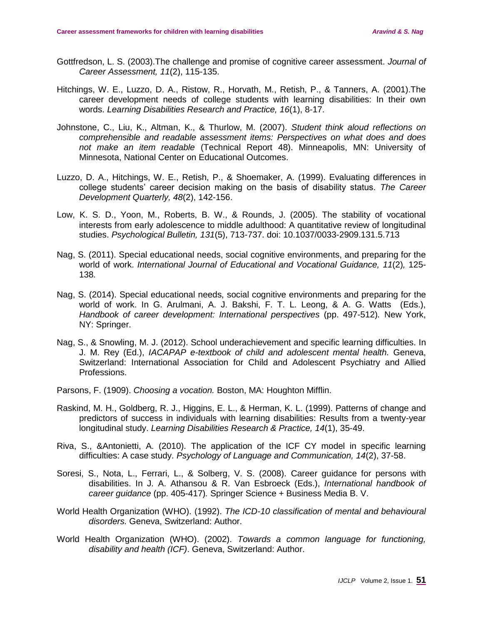- Gottfredson, L. S. (2003).The challenge and promise of cognitive career assessment. *Journal of Career Assessment, 11*(2), 115-135.
- Hitchings, W. E., Luzzo, D. A., Ristow, R., Horvath, M., Retish, P., & Tanners, A. (2001).The career development needs of college students with learning disabilities: In their own words. *Learning Disabilities Research and Practice, 16*(1), 8-17.
- Johnstone, C., Liu, K., Altman, K., & Thurlow, M. (2007). *Student think aloud reflections on comprehensible and readable assessment items: Perspectives on what does and does not make an item readable* (Technical Report 48). Minneapolis, MN: University of Minnesota, National Center on Educational Outcomes.
- Luzzo, D. A., Hitchings, W. E., Retish, P., & Shoemaker, A. (1999). Evaluating differences in college students' career decision making on the basis of disability status. *The Career Development Quarterly, 48*(2), 142-156.
- Low, K. S. D., Yoon, M., Roberts, B. W., & Rounds, J. (2005). The stability of vocational interests from early adolescence to middle adulthood: A quantitative review of longitudinal studies. *Psychological Bulletin, 131*(5), 713-737. doi: 10.1037/0033-2909.131.5.713
- Nag, S. (2011). Special educational needs, social cognitive environments, and preparing for the world of work. *International Journal of Educational and Vocational Guidance, 11*(2)*,* 125- 138*.*
- Nag, S. (2014). Special educational needs, social cognitive environments and preparing for the world of work. In G. Arulmani, A. J. Bakshi, F. T. L. Leong, & A. G. Watts (Eds.), *Handbook of career development: International perspectives* (pp. 497-512)*.* New York, NY: Springer.
- Nag, S., & Snowling, M. J. (2012). School underachievement and specific learning difficulties. In J. M. Rey (Ed.), *IACAPAP e-textbook of child and adolescent mental health.* Geneva, Switzerland: International Association for Child and Adolescent Psychiatry and Allied Professions.
- Parsons, F. (1909). *Choosing a vocation.* Boston, MA: Houghton Mifflin.
- Raskind, M. H., Goldberg, R. J., Higgins, E. L., & Herman, K. L. (1999). Patterns of change and predictors of success in individuals with learning disabilities: Results from a twenty-year longitudinal study. *Learning Disabilities Research & Practice, 14*(1), 35-49.
- Riva, S., &Antonietti, A. (2010). The application of the ICF CY model in specific learning difficulties: A case study. *Psychology of Language and Communication, 14*(2), 37-58.
- Soresi, S., Nota, L., Ferrari, L., & Solberg, V. S. (2008). Career guidance for persons with disabilities. In J. A. Athansou & R. Van Esbroeck (Eds.), *International handbook of career guidance* (pp. 405-417)*.* Springer Science + Business Media B. V.
- World Health Organization (WHO). (1992). *The ICD-10 classification of mental and behavioural disorders.* Geneva, Switzerland: Author.
- World Health Organization (WHO). (2002). *Towards a common language for functioning, disability and health (ICF)*. Geneva, Switzerland: Author.